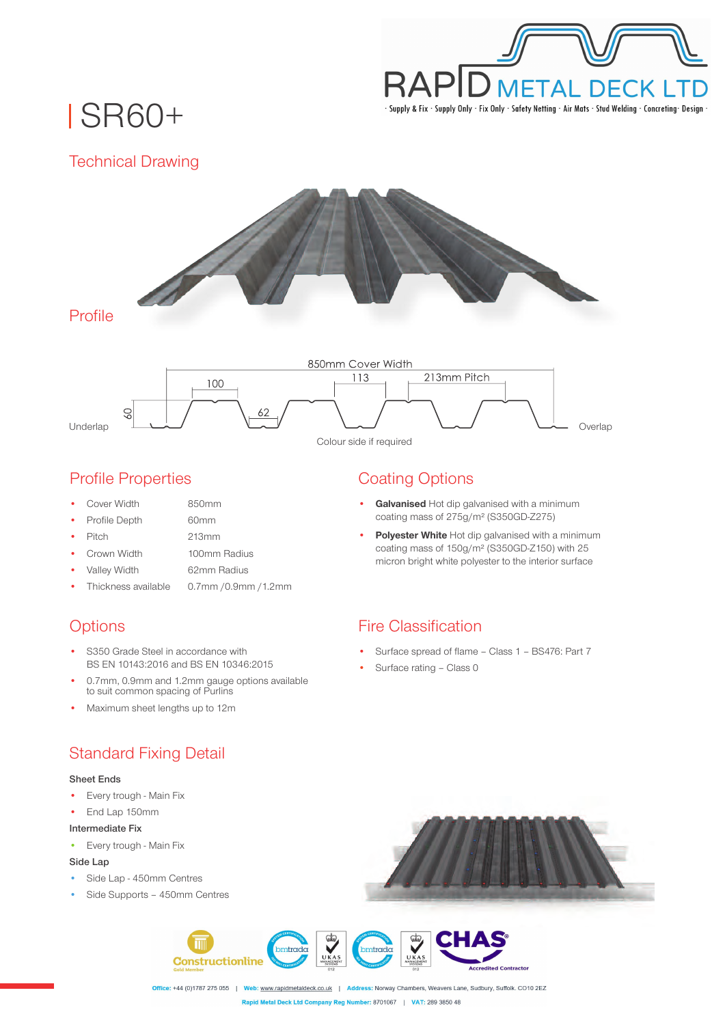

SR60+

Technical Drawing



## Profile Properties

- Cover Width 850mm
- Profile Depth

60mm

• Pitch

213mm

- Crown Width 100mm Radius
- Valley Width 62mm Radius
- Thickness available 0.7mm /0.9mm /1.2mm

# **Options**

- S350 Grade Steel in accordance with BS EN 10143:2016 and BS EN 10346:2015
- 0.7mm, 0.9mm and 1.2mm gauge options available to suit common spacing of Purlins
- Maximum sheet lengths up to 12m

# Standard Fixing Detail

### **Sheet Ends**

- Every trough Main Fix
- End Lap 150mm

### **Intermediate Fix**

• Every trough - Main Fix

### **Side Lap**

- Side Lap 450mm Centres
- Side Supports 450mm Centres



- **Galvanised** Hot dip galvanised with a minimum coating mass of 275g/m² (S350GD-Z275)
- **Polyester White** Hot dip galvanised with a minimum coating mass of 150g/m² (S350GD-Z150) with 25 micron bright white polyester to the interior surface

## Fire Classification

- Surface spread of flame Class 1 BS476: Part 7
- Surface rating Class 0